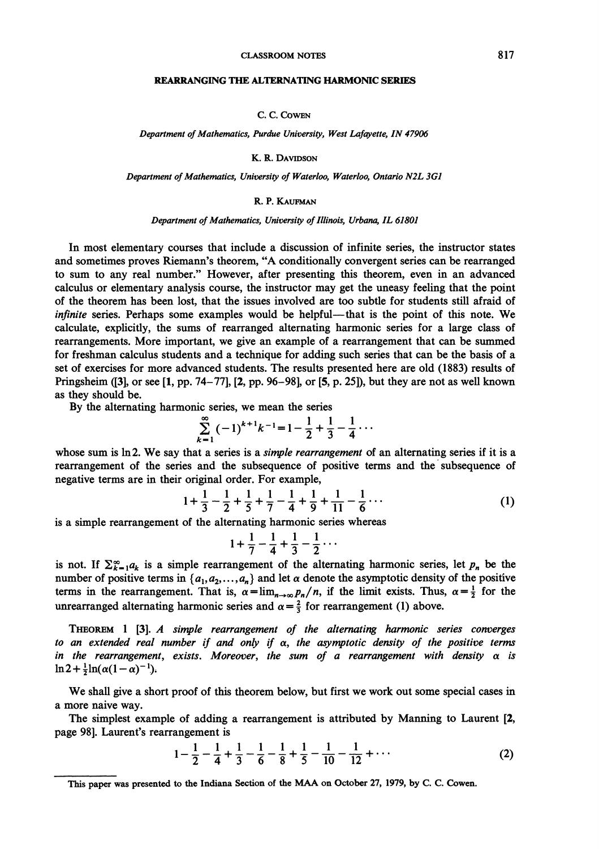#### **CLASSROOM NOTES**

### **REARRANGING THEALTERNATING HARMONICSERIES**

C. C. COWEN

*Department of Mathematics, Purdue University, West Lafqyette, IN 47906* 

K. R. DAVIDSON

*Department of Mathematics, University of Waterloo, Waterloo, Ontario N2L 3GI* 

# R. P. KAUFMAN

## Department of Mathematics, University of Illinois, Urbana, IL 61801

In most elementary courses that include a discussion of infinite series, the instructor states and sometimes proves Riemann's theorem, "A conditionally convergent series can be rearranged to sum to any real number." However, after presenting this theorem, even in an advanced calculus or elementary analysis course, the instructor may get the uneasy feeling that the point of the theorem has been lost, that the issues involved are too subtle for students still afraid of infinite series. Perhaps some examples would be helpful—that is the point of this note. We calculate, explicitly, the sums of rearranged alternating harmonic series for a large class of rearrangements. More important, we give an example of a rearrangement that can be summed for freshman calculus students and a technique for adding such series that can be the basis of a set of exercises for more advanced students. The results presented here are old (1883) results of Pringsheim (131, or see [I, pp. 74-77], 12, pp. 96-98], or 15, p. 25]), but they are not as well known as they should be.

By the alternating harmonic series, we mean the series

$$
\sum_{k=1}^{\infty} (-1)^{k+1} k^{-1} = 1 - \frac{1}{2} + \frac{1}{3} - \frac{1}{4} \cdots
$$

whose sum is ln2. We say that a series is a *simple rearrangement* of an alternating series if it is a rearrangement of the series and the subsequence of positive terms and the subsequence of negative terms are in their original order. For example,

$$
1 + \frac{1}{3} - \frac{1}{2} + \frac{1}{5} + \frac{1}{7} - \frac{1}{4} + \frac{1}{9} + \frac{1}{11} - \frac{1}{6} \cdots
$$
 (1)

is a simple rearrangement of the alternating harmonic series whereas

$$
1 + \frac{1}{7} - \frac{1}{4} + \frac{1}{3} - \frac{1}{2} \cdots
$$

is not. If  $\sum_{k=1}^{\infty} a_k$  is a simple rearrangement of the alternating harmonic series, let  $p_n$  be the number of positive terms in  $\{a_1, a_2, ..., a_n\}$  and let  $\alpha$  denote the asymptotic density of the positive terms in the rearrangement. That is,  $\alpha = \lim_{n \to \infty} p_n/n$ , if the limit exists. Thus,  $\alpha = \frac{1}{2}$  for the unrearranged alternating harmonic series and  $\alpha = \frac{2}{3}$  for rearrangement (1) above.

**THBORBM**1 131. **A** simple rearrangement of the alternating harmonic series converges to an extended real number if and only if  $\alpha$ , the asymptotic density of the positive terms in the rearrangement, exists. Moreover, the sum of a rearrangement with density  $\alpha$  is  $\ln 2 + \frac{1}{2} \ln(\alpha(1-\alpha)^{-1}).$ 

We shall give a short proof of this theorem below, but first we work out some special cases in a more naive way.

The simplest example of adding a rearrangement is attributed by Manning to Laurent [2, page 981. Laurent's rearrangement is

$$
1 - \frac{1}{2} - \frac{1}{4} + \frac{1}{3} - \frac{1}{6} - \frac{1}{8} + \frac{1}{5} - \frac{1}{10} - \frac{1}{12} + \cdots
$$
 (2)

**This paper was presented to the Indiana Section of the MAA on October 27, 1979, by C. C. Cowen.**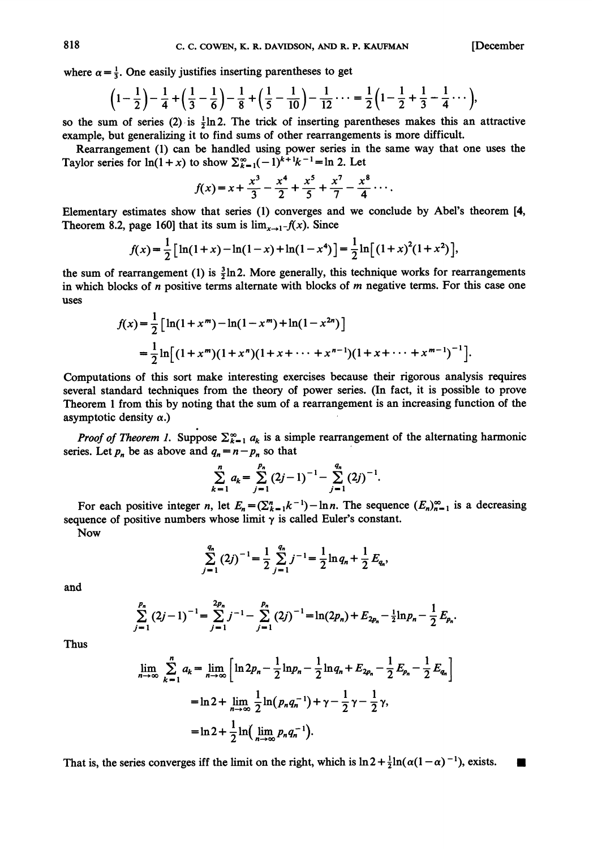where  $\alpha = \frac{1}{3}$ . One easily justifies inserting parentheses to get

$$
\left(1-\frac{1}{2}\right)-\frac{1}{4}+\left(\frac{1}{3}-\frac{1}{6}\right)-\frac{1}{8}+\left(\frac{1}{5}-\frac{1}{10}\right)-\frac{1}{12}\cdots=\frac{1}{2}\left(1-\frac{1}{2}+\frac{1}{3}-\frac{1}{4}\cdots\right),
$$

so the sum of series (2) is  $\frac{1}{2}$ ln 2. The trick of inserting parentheses makes this an attractive example, but generalizing it to find sums of other rearrangements is more difficult.

Rearrangement (1) can be handled using power series in the same way that one uses the Taylor series for  $ln(1+x)$  to show  $\sum_{k=1}^{\infty}(-1)^{k+1}k^{-1} = ln 2$ . Let

$$
f(x) = x + \frac{x^3}{3} - \frac{x^4}{2} + \frac{x^5}{5} + \frac{x^7}{7} - \frac{x^8}{4} \cdots
$$

Elementary estimates show that series (1) converges and we conclude by Abel's theorem [4, Theorem 8.2, page 160] that its sum is  $\lim_{x\to 1^-} f(x)$ . Since

$$
f(x) = \frac{1}{2} \left[ \ln(1+x) - \ln(1-x) + \ln(1-x^4) \right] = \frac{1}{2} \ln \left[ (1+x)^2 (1+x^2) \right],
$$

the sum of rearrangement (1) is  $\frac{3}{2}$ ln2. More generally, this technique works for rearrangements in which blocks of n positive terms alternate with blocks of **m** negative terms. For this case one uses

$$
f(x) = \frac{1}{2} \left[ \ln(1 + x^m) - \ln(1 - x^m) + \ln(1 - x^{2n}) \right]
$$
  
= 
$$
\frac{1}{2} \ln \left[ (1 + x^m)(1 + x^n)(1 + x + \dots + x^{n-1})(1 + x + \dots + x^{m-1})^{-1} \right].
$$

Computations of this sort make interesting exercises because their rigorous analysis requires several standard techniques from the theory of power series. (In fact, it is possible to prove Theorem 1 from this by noting that the sum of a rearrangement is an increasing function of the asymptotic density  $\alpha$ .)

*Proof of Theorem 1.* Suppose  $\sum_{k=1}^{\infty} a_k$  is a simple rearrangement of the alternating harmonic series. Let  $p_n$  be as above and  $q_n = n - p_n$  so that

$$
\sum_{k=1}^n a_k = \sum_{j=1}^{p_n} (2j-1)^{-1} - \sum_{j=1}^{q_n} (2j)^{-1}.
$$

For each positive integer n, let  $E_n = (\sum_{k=1}^n k^{-1}) - \ln n$ . The sequence  $(E_n)_{n=1}^{\infty}$  is a decreasing sequence of positive numbers whose limit  $\gamma$  is called Euler's constant.

Now

$$
\sum_{j=1}^{q_n} (2j)^{-1} = \frac{1}{2} \sum_{j=1}^{q_n} j^{-1} = \frac{1}{2} \ln q_n + \frac{1}{2} E_{q_n}
$$

and

$$
\sum_{j=1}^{p_n} (2j-1)^{-1} = \sum_{j=1}^{2p_n} j^{-1} - \sum_{j=1}^{p_n} (2j)^{-1} = \ln(2p_n) + E_{2p_n} - \frac{1}{2} \ln p_n - \frac{1}{2} E_{p_n}.
$$

Thus

$$
\lim_{n \to \infty} \sum_{k=1}^{n} a_k = \lim_{n \to \infty} \left[ \ln 2p_n - \frac{1}{2} \ln p_n - \frac{1}{2} \ln q_n + E_{2p_n} - \frac{1}{2} E_{p_n} - \frac{1}{2} E_{q_n} \right]
$$

$$
= \ln 2 + \lim_{n \to \infty} \frac{1}{2} \ln (p_n q_n^{-1}) + \gamma - \frac{1}{2} \gamma - \frac{1}{2} \gamma,
$$

$$
= \ln 2 + \frac{1}{2} \ln \left( \lim_{n \to \infty} p_n q_n^{-1} \right).
$$

That is, the series converges iff the limit on the right, which is  $\ln 2 + \frac{1}{2} \ln(\alpha(1 - \alpha)^{-1})$ , exists.